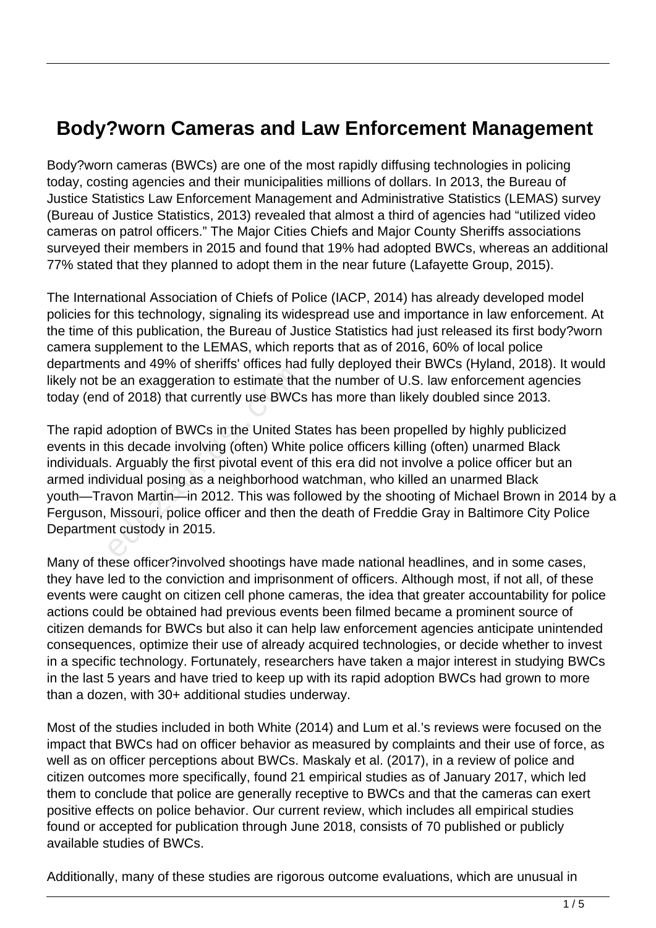## **Body?worn Cameras and Law Enforcement Management**

Body?worn cameras (BWCs) are one of the most rapidly diffusing technologies in policing today, costing agencies and their municipalities millions of dollars. In 2013, the Bureau of Justice Statistics Law Enforcement Management and Administrative Statistics (LEMAS) survey (Bureau of Justice Statistics, 2013) revealed that almost a third of agencies had "utilized video cameras on patrol officers." The Major Cities Chiefs and Major County Sheriffs associations surveyed their members in 2015 and found that 19% had adopted BWCs, whereas an additional 77% stated that they planned to adopt them in the near future (Lafayette Group, 2015).

The International Association of Chiefs of Police (IACP, 2014) has already developed model policies for this technology, signaling its widespread use and importance in law enforcement. At the time of this publication, the Bureau of Justice Statistics had just released its first body?worn camera supplement to the LEMAS, which reports that as of 2016, 60% of local police departments and 49% of sheriffs' offices had fully deployed their BWCs (Hyland, 2018). It would likely not be an exaggeration to estimate that the number of U.S. law enforcement agencies today (end of 2018) that currently use BWCs has more than likely doubled since 2013.

The rapid adoption of BWCs in the United States has been propelled by highly publicized events in this decade involving (often) White police officers killing (often) unarmed Black individuals. Arguably the first pivotal event of this era did not involve a police officer but an armed individual posing as a neighborhood watchman, who killed an unarmed Black youth—Travon Martin—in 2012. This was followed by the shooting of Michael Brown in 2014 by a Ferguson, Missouri, police officer and then the death of Freddie Gray in Baltimore City Police Department custody in 2015. e an exaggeration to estimate that<br>i of 2018) that currently use BWCs<br>adoption of BWCs in the United S<sup>t</sup><br>his decade involving (often) White<br>. Arguably the first pivotal event of<br>vidual posing as a neighborhood way Martin—

Many of these officer?involved shootings have made national headlines, and in some cases, they have led to the conviction and imprisonment of officers. Although most, if not all, of these events were caught on citizen cell phone cameras, the idea that greater accountability for police actions could be obtained had previous events been filmed became a prominent source of citizen demands for BWCs but also it can help law enforcement agencies anticipate unintended consequences, optimize their use of already acquired technologies, or decide whether to invest in a specific technology. Fortunately, researchers have taken a major interest in studying BWCs in the last 5 years and have tried to keep up with its rapid adoption BWCs had grown to more than a dozen, with 30+ additional studies underway.

Most of the studies included in both White (2014) and Lum et al.'s reviews were focused on the impact that BWCs had on officer behavior as measured by complaints and their use of force, as well as on officer perceptions about BWCs. Maskaly et al. (2017), in a review of police and citizen outcomes more specifically, found 21 empirical studies as of January 2017, which led them to conclude that police are generally receptive to BWCs and that the cameras can exert positive effects on police behavior. Our current review, which includes all empirical studies found or accepted for publication through June 2018, consists of 70 published or publicly available studies of BWCs.

Additionally, many of these studies are rigorous outcome evaluations, which are unusual in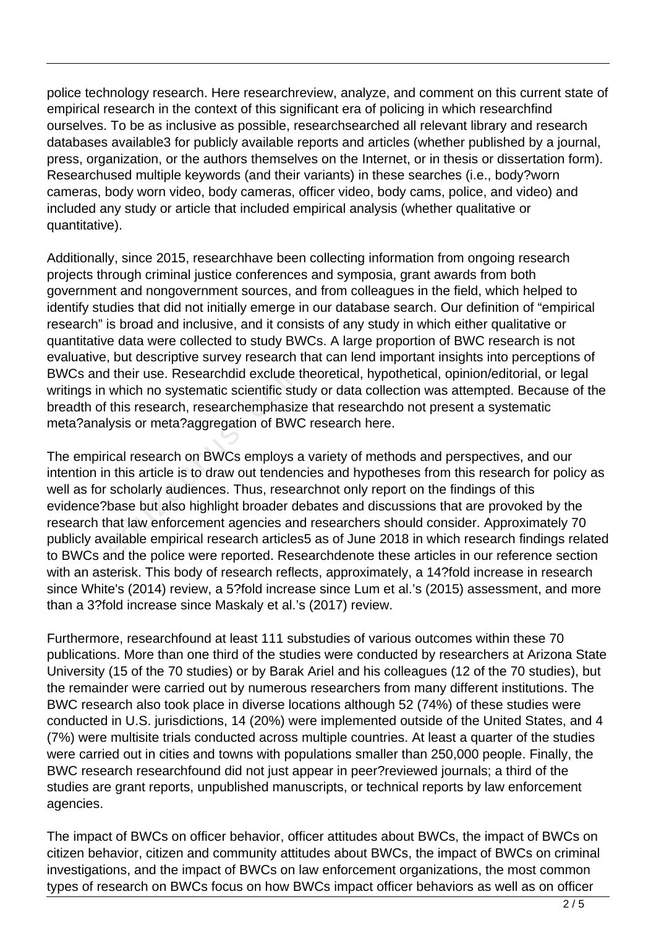police technology research. Here researchreview, analyze, and comment on this current state of empirical research in the context of this significant era of policing in which researchfind ourselves. To be as inclusive as possible, researchsearched all relevant library and research databases available3 for publicly available reports and articles (whether published by a journal, press, organization, or the authors themselves on the Internet, or in thesis or dissertation form). Researchused multiple keywords (and their variants) in these searches (i.e., body?worn cameras, body worn video, body cameras, officer video, body cams, police, and video) and included any study or article that included empirical analysis (whether qualitative or quantitative).

Additionally, since 2015, researchhave been collecting information from ongoing research projects through criminal justice conferences and symposia, grant awards from both government and nongovernment sources, and from colleagues in the field, which helped to identify studies that did not initially emerge in our database search. Our definition of "empirical research" is broad and inclusive, and it consists of any study in which either qualitative or quantitative data were collected to study BWCs. A large proportion of BWC research is not evaluative, but descriptive survey research that can lend important insights into perceptions of BWCs and their use. Researchdid exclude theoretical, hypothetical, opinion/editorial, or legal writings in which no systematic scientific study or data collection was attempted. Because of the breadth of this research, researchemphasize that researchdo not present a systematic meta?analysis or meta?aggregation of BWC research here.

The empirical research on BWCs employs a variety of methods and perspectives, and our intention in this article is to draw out tendencies and hypotheses from this research for policy as well as for scholarly audiences. Thus, researchnot only report on the findings of this evidence?base but also highlight broader debates and discussions that are provoked by the research that law enforcement agencies and researchers should consider. Approximately 70 publicly available empirical research articles5 as of June 2018 in which research findings related to BWCs and the police were reported. Researchdenote these articles in our reference section with an asterisk. This body of research reflects, approximately, a 14?fold increase in research since White's (2014) review, a 5?fold increase since Lum et al.'s (2015) assessment, and more than a 3?fold increase since Maskaly et al.'s (2017) review. I their use. Researchdid exclude to<br>which no systematic scientific stude<br>this research, researchemphasize<br>ysis or meta?aggregation of BWC<br>ical research on BWCs employs a<br>this article is to draw out tendence<br>scholarly audie

Furthermore, researchfound at least 111 substudies of various outcomes within these 70 publications. More than one third of the studies were conducted by researchers at Arizona State University (15 of the 70 studies) or by Barak Ariel and his colleagues (12 of the 70 studies), but the remainder were carried out by numerous researchers from many different institutions. The BWC research also took place in diverse locations although 52 (74%) of these studies were conducted in U.S. jurisdictions, 14 (20%) were implemented outside of the United States, and 4 (7%) were multisite trials conducted across multiple countries. At least a quarter of the studies were carried out in cities and towns with populations smaller than 250,000 people. Finally, the BWC research researchfound did not just appear in peer?reviewed journals; a third of the studies are grant reports, unpublished manuscripts, or technical reports by law enforcement agencies.

The impact of BWCs on officer behavior, officer attitudes about BWCs, the impact of BWCs on citizen behavior, citizen and community attitudes about BWCs, the impact of BWCs on criminal investigations, and the impact of BWCs on law enforcement organizations, the most common types of research on BWCs focus on how BWCs impact officer behaviors as well as on officer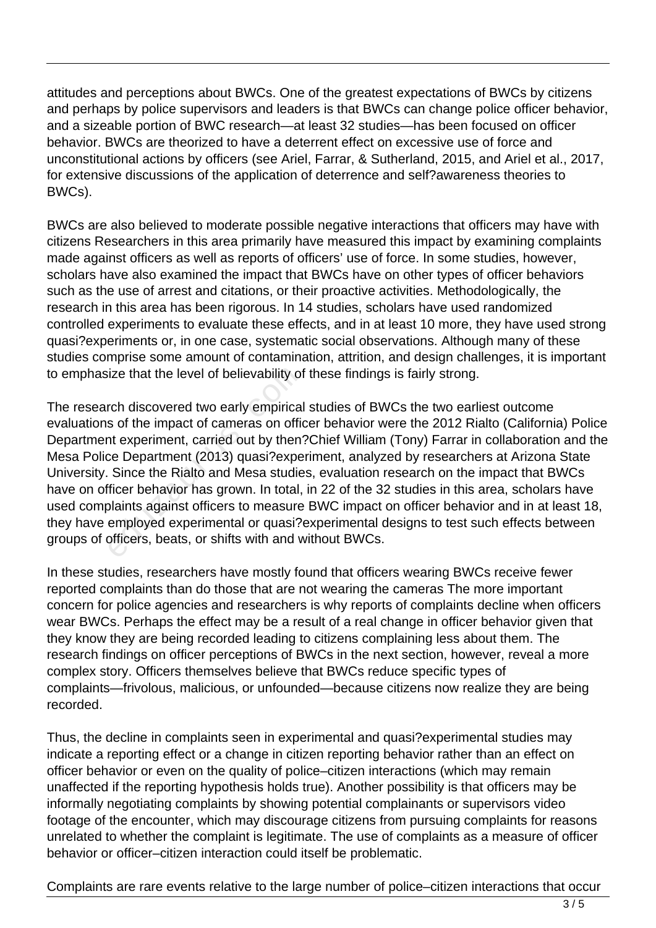attitudes and perceptions about BWCs. One of the greatest expectations of BWCs by citizens and perhaps by police supervisors and leaders is that BWCs can change police officer behavior, and a sizeable portion of BWC research—at least 32 studies—has been focused on officer behavior. BWCs are theorized to have a deterrent effect on excessive use of force and unconstitutional actions by officers (see Ariel, Farrar, & Sutherland, 2015, and Ariel et al., 2017, for extensive discussions of the application of deterrence and self?awareness theories to BWCs).

BWCs are also believed to moderate possible negative interactions that officers may have with citizens Researchers in this area primarily have measured this impact by examining complaints made against officers as well as reports of officers' use of force. In some studies, however, scholars have also examined the impact that BWCs have on other types of officer behaviors such as the use of arrest and citations, or their proactive activities. Methodologically, the research in this area has been rigorous. In 14 studies, scholars have used randomized controlled experiments to evaluate these effects, and in at least 10 more, they have used strong quasi?experiments or, in one case, systematic social observations. Although many of these studies comprise some amount of contamination, attrition, and design challenges, it is important to emphasize that the level of believability of these findings is fairly strong.

The research discovered two early empirical studies of BWCs the two earliest outcome evaluations of the impact of cameras on officer behavior were the 2012 Rialto (California) Police Department experiment, carried out by then?Chief William (Tony) Farrar in collaboration and the Mesa Police Department (2013) quasi?experiment, analyzed by researchers at Arizona State University. Since the Rialto and Mesa studies, evaluation research on the impact that BWCs have on officer behavior has grown. In total, in 22 of the 32 studies in this area, scholars have used complaints against officers to measure BWC impact on officer behavior and in at least 18, they have employed experimental or quasi?experimental designs to test such effects between groups of officers, beats, or shifts with and without BWCs. ize that the level of believability of<br>rch discovered two early empirical<br>s of the impact of cameras on official<br>s of the impact of cameras on official<br>comparation of the Department (2013) quasi?expe<br>Since the Rialto and M

In these studies, researchers have mostly found that officers wearing BWCs receive fewer reported complaints than do those that are not wearing the cameras The more important concern for police agencies and researchers is why reports of complaints decline when officers wear BWCs. Perhaps the effect may be a result of a real change in officer behavior given that they know they are being recorded leading to citizens complaining less about them. The research findings on officer perceptions of BWCs in the next section, however, reveal a more complex story. Officers themselves believe that BWCs reduce specific types of complaints—frivolous, malicious, or unfounded—because citizens now realize they are being recorded.

Thus, the decline in complaints seen in experimental and quasi?experimental studies may indicate a reporting effect or a change in citizen reporting behavior rather than an effect on officer behavior or even on the quality of police–citizen interactions (which may remain unaffected if the reporting hypothesis holds true). Another possibility is that officers may be informally negotiating complaints by showing potential complainants or supervisors video footage of the encounter, which may discourage citizens from pursuing complaints for reasons unrelated to whether the complaint is legitimate. The use of complaints as a measure of officer behavior or officer–citizen interaction could itself be problematic.

Complaints are rare events relative to the large number of police–citizen interactions that occur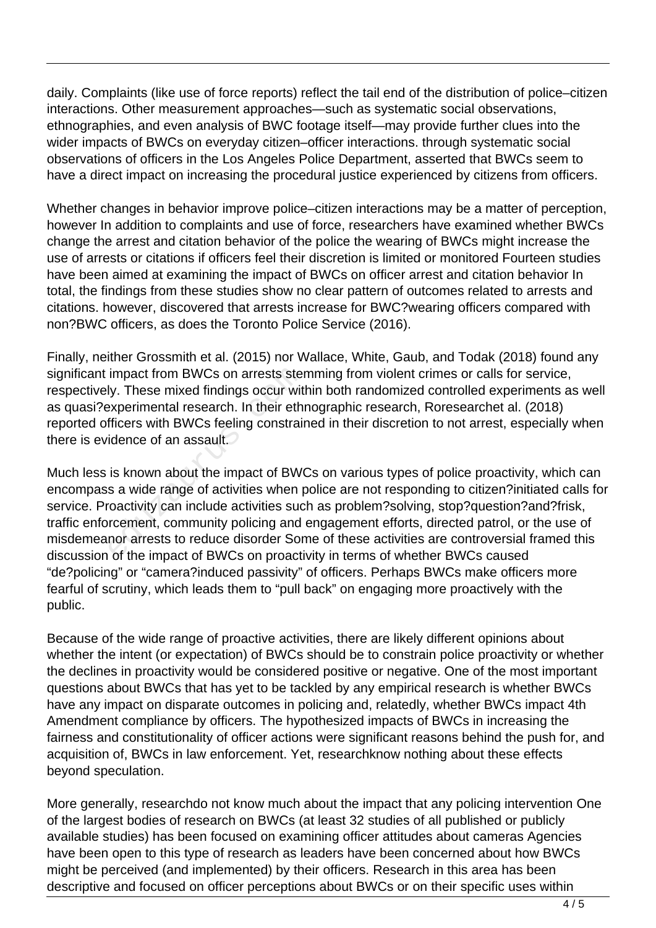daily. Complaints (like use of force reports) reflect the tail end of the distribution of police–citizen interactions. Other measurement approaches—such as systematic social observations, ethnographies, and even analysis of BWC footage itself—may provide further clues into the wider impacts of BWCs on everyday citizen–officer interactions. through systematic social observations of officers in the Los Angeles Police Department, asserted that BWCs seem to have a direct impact on increasing the procedural justice experienced by citizens from officers.

Whether changes in behavior improve police–citizen interactions may be a matter of perception, however In addition to complaints and use of force, researchers have examined whether BWCs change the arrest and citation behavior of the police the wearing of BWCs might increase the use of arrests or citations if officers feel their discretion is limited or monitored Fourteen studies have been aimed at examining the impact of BWCs on officer arrest and citation behavior In total, the findings from these studies show no clear pattern of outcomes related to arrests and citations. however, discovered that arrests increase for BWC?wearing officers compared with non?BWC officers, as does the Toronto Police Service (2016).

Finally, neither Grossmith et al. (2015) nor Wallace, White, Gaub, and Todak (2018) found any significant impact from BWCs on arrests stemming from violent crimes or calls for service, respectively. These mixed findings occur within both randomized controlled experiments as well as quasi?experimental research. In their ethnographic research, Roresearchet al. (2018) reported officers with BWCs feeling constrained in their discretion to not arrest, especially when there is evidence of an assault.

Much less is known about the impact of BWCs on various types of police proactivity, which can encompass a wide range of activities when police are not responding to citizen?initiated calls for service. Proactivity can include activities such as problem?solving, stop?question?and?frisk, traffic enforcement, community policing and engagement efforts, directed patrol, or the use of misdemeanor arrests to reduce disorder Some of these activities are controversial framed this discussion of the impact of BWCs on proactivity in terms of whether BWCs caused "de?policing" or "camera?induced passivity" of officers. Perhaps BWCs make officers more fearful of scrutiny, which leads them to "pull back" on engaging more proactively with the public. impact from BWCs on arrests stelly.<br>These mixed findings occur wite<br>experimental research. In their eth<br>fficers with BWCs feeling constrain<br>idence of an assault.<br>is known about the impact of BW<br>s a wide range of activities

Because of the wide range of proactive activities, there are likely different opinions about whether the intent (or expectation) of BWCs should be to constrain police proactivity or whether the declines in proactivity would be considered positive or negative. One of the most important questions about BWCs that has yet to be tackled by any empirical research is whether BWCs have any impact on disparate outcomes in policing and, relatedly, whether BWCs impact 4th Amendment compliance by officers. The hypothesized impacts of BWCs in increasing the fairness and constitutionality of officer actions were significant reasons behind the push for, and acquisition of, BWCs in law enforcement. Yet, researchknow nothing about these effects beyond speculation.

More generally, researchdo not know much about the impact that any policing intervention One of the largest bodies of research on BWCs (at least 32 studies of all published or publicly available studies) has been focused on examining officer attitudes about cameras Agencies have been open to this type of research as leaders have been concerned about how BWCs might be perceived (and implemented) by their officers. Research in this area has been descriptive and focused on officer perceptions about BWCs or on their specific uses within